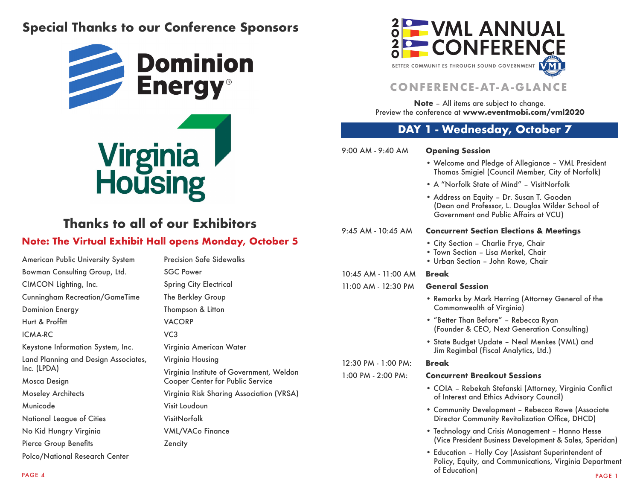# **Special Thanks to our Conference Sponsors**





# **Thanks to all of our Exhibitors**

### **Note: The Virtual Exhibit Hall opens Monday, October 5**

| American Public University System                   |
|-----------------------------------------------------|
| Bowman Consulting Group, Ltd.                       |
| CIMCON Lighting, Inc.                               |
| Cunningham Recreation/GameTime                      |
| <b>Dominion Energy</b>                              |
| Hurt & Proffitt                                     |
| <b>ICMA-RC</b>                                      |
| Keystone Information System, Inc.                   |
| Land Planning and Design Associates,<br>Inc. (LPDA) |
| Mosca Design                                        |
| <b>Moseley Architects</b>                           |
| Municode                                            |
| National League of Cities                           |
| No Kid Hungry Virginia                              |
| <b>Pierce Group Benefits</b>                        |
|                                                     |

Polco/National Research Center

| Precision Safe Sidewalks                                                     |
|------------------------------------------------------------------------------|
| <b>SGC Power</b>                                                             |
| <b>Spring City Electrical</b>                                                |
| The Berkley Group                                                            |
| Thompson & Litton                                                            |
| <b>VACORP</b>                                                                |
| VC <sub>3</sub>                                                              |
| Virginia American Water                                                      |
| Virginia Housing                                                             |
| Virginia Institute of Government, Weldon<br>Cooper Center for Public Service |
| Virginia Risk Sharing Association (VRSA)                                     |
| Visit Loudoun                                                                |
| VisitNorfolk                                                                 |
| <b>VML/VACo Finance</b>                                                      |
| Zencity                                                                      |



### **CON F E R ENC E- AT- A -G L ANC E**

**Note** – All items are subject to change. Preview the conference at **www.eventmobi.com/vml2020**

## **DAY 1 - Wednesday, October 7**

| $9:00$ AM - $9:40$ AM | <b>Opening Session</b> |  |
|-----------------------|------------------------|--|
|                       |                        |  |

#### • Welcome and Pledge of Allegiance – VML President Thomas Smigiel (Council Member, City of Norfolk)

- A "Norfolk State of Mind" VisitNorfolk
- Address on Equity Dr. Susan T. Gooden (Dean and Professor, L. Douglas Wilder School of Government and Public Affairs at VCU)

### 9:45 AM - 10:45 AM **Concurrent Section Elections & Meetings**

- City Section Charlie Frye, Chair
- Town Section Lisa Merkel, Chair
- Urban Section John Rowe, Chair

#### 10:45 AM - 11:00 AM **Break**

#### 11:00 AM - 12:30 PM **General Session**

- Remarks by Mark Herring (Attorney General of the Commonwealth of Virginia)
- "Better Than Before" Rebecca Ryan (Founder & CEO, Next Generation Consulting)
- State Budget Update Neal Menkes (VML) and Jim Regimbal (Fiscal Analytics, Ltd.)

#### 12:30 PM - 1:00 PM: **Break**

#### 1:00 PM - 2:00 PM: **Concurrent Breakout Sessions**

- COIA Rebekah Stefanski (Attorney, Virginia Conflict of Interest and Ethics Advisory Council)
- Community Development Rebecca Rowe (Associate Director Community Revitalization Office, DHCD)
- Technology and Crisis Management Hanno Hesse (Vice President Business Development & Sales, Speridan)
- Education Holly Coy (Assistant Superintendent of Policy, Equity, and Communications, Virginia Department of Education) PAGE 4 PAGE 1